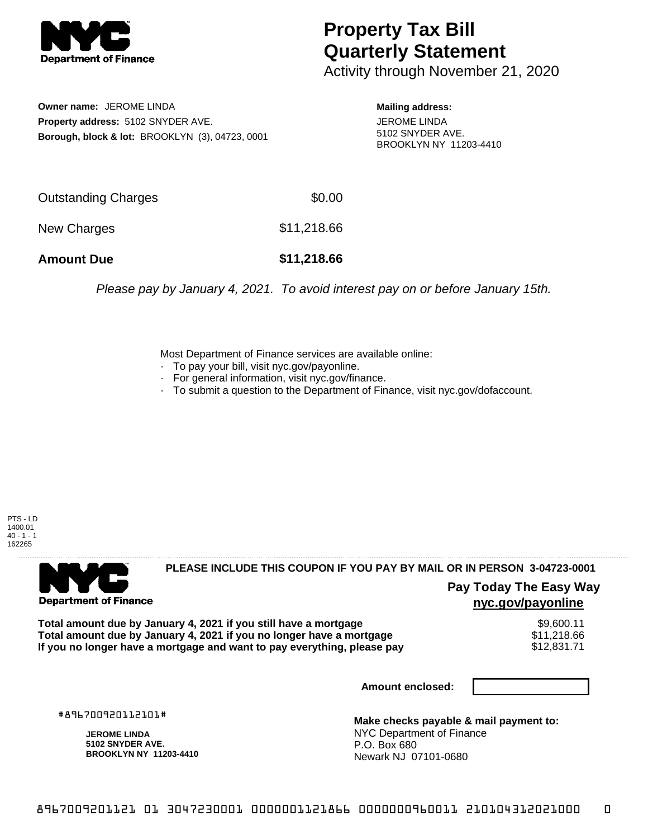

## **Property Tax Bill Quarterly Statement**

Activity through November 21, 2020

**Owner name:** JEROME LINDA **Property address:** 5102 SNYDER AVE. **Borough, block & lot:** BROOKLYN (3), 04723, 0001

**Mailing address:** JEROME LINDA 5102 SNYDER AVE. BROOKLYN NY 11203-4410

| <b>Outstanding Charges</b> | \$0.00      |
|----------------------------|-------------|
| New Charges                | \$11,218.66 |
| <b>Amount Due</b>          | \$11,218,66 |

Please pay by January 4, 2021. To avoid interest pay on or before January 15th.

Most Department of Finance services are available online:

- · To pay your bill, visit nyc.gov/payonline.
- For general information, visit nyc.gov/finance.
- · To submit a question to the Department of Finance, visit nyc.gov/dofaccount.

PTS - LD 1400.01  $40 - 1 - 1$ 162265



## **PLEASE INCLUDE THIS COUPON IF YOU PAY BY MAIL OR IN PERSON 3-04723-0001**

**Pay Today The Easy Way nyc.gov/payonline**

**Total amount due by January 4, 2021 if you still have a mortgage** \$9,600.11 **Total amount due by January 4, 2021 if you no longer have a mortgage** \$11,218.66 If you no longer have a mortgage and want to pay everything, please pay

**Amount enclosed:**

#896700920112101#

**JEROME LINDA 5102 SNYDER AVE. BROOKLYN NY 11203-4410**

**Make checks payable & mail payment to:** NYC Department of Finance P.O. Box 680 Newark NJ 07101-0680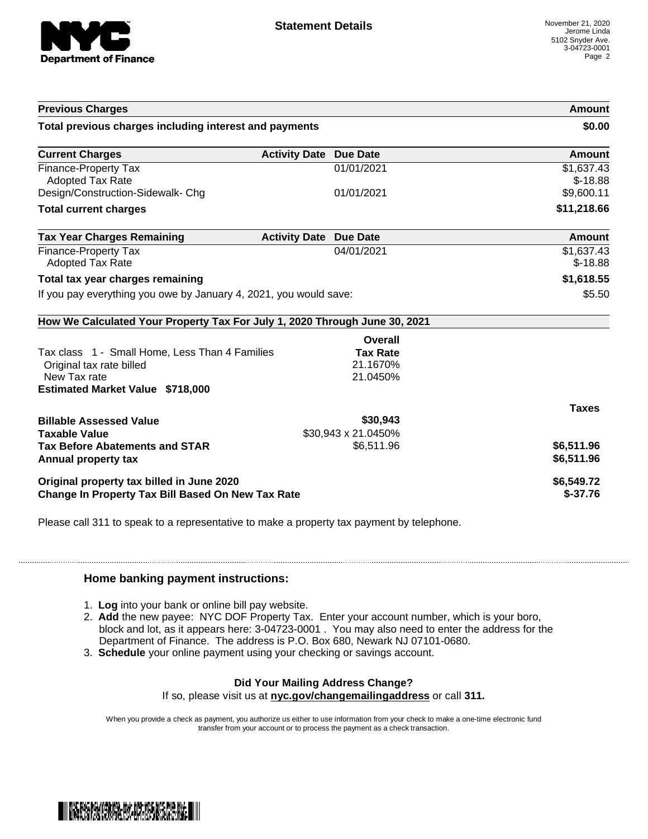

| <b>Previous Charges</b>                                                    |                               |                     | Amount                  |
|----------------------------------------------------------------------------|-------------------------------|---------------------|-------------------------|
| Total previous charges including interest and payments                     |                               | \$0.00              |                         |
| <b>Current Charges</b>                                                     | <b>Activity Date Due Date</b> |                     | Amount                  |
| <b>Finance-Property Tax</b><br><b>Adopted Tax Rate</b>                     |                               | 01/01/2021          | \$1,637.43<br>$$-18.88$ |
| Design/Construction-Sidewalk- Chg                                          |                               | 01/01/2021          | \$9,600.11              |
| <b>Total current charges</b>                                               |                               |                     | \$11,218.66             |
| <b>Tax Year Charges Remaining</b>                                          | <b>Activity Date</b>          | <b>Due Date</b>     | Amount                  |
| Finance-Property Tax<br>Adopted Tax Rate                                   |                               | 04/01/2021          | \$1,637.43<br>$$-18.88$ |
| Total tax year charges remaining                                           |                               |                     | \$1,618.55              |
| If you pay everything you owe by January 4, 2021, you would save:          |                               | \$5.50              |                         |
|                                                                            |                               |                     |                         |
| How We Calculated Your Property Tax For July 1, 2020 Through June 30, 2021 |                               |                     |                         |
|                                                                            |                               | Overall             |                         |
| Tax class 1 - Small Home, Less Than 4 Families                             |                               | <b>Tax Rate</b>     |                         |
| Original tax rate billed                                                   |                               | 21.1670%            |                         |
| New Tax rate                                                               |                               | 21.0450%            |                         |
|                                                                            |                               |                     |                         |
| <b>Estimated Market Value \$718,000</b>                                    |                               |                     | <b>Taxes</b>            |
| <b>Billable Assessed Value</b>                                             |                               | \$30,943            |                         |
| <b>Taxable Value</b>                                                       |                               | \$30,943 x 21.0450% |                         |
|                                                                            |                               | \$6,511.96          | \$6,511.96              |
| <b>Tax Before Abatements and STAR</b><br>Annual property tax               |                               |                     | \$6,511.96              |
| Original property tax billed in June 2020                                  |                               |                     | \$6,549.72              |

Please call 311 to speak to a representative to make a property tax payment by telephone.

## **Home banking payment instructions:**

- 1. **Log** into your bank or online bill pay website.
- 2. **Add** the new payee: NYC DOF Property Tax. Enter your account number, which is your boro, block and lot, as it appears here: 3-04723-0001 . You may also need to enter the address for the Department of Finance. The address is P.O. Box 680, Newark NJ 07101-0680.
- 3. **Schedule** your online payment using your checking or savings account.

## **Did Your Mailing Address Change?**

If so, please visit us at **nyc.gov/changemailingaddress** or call **311.**

When you provide a check as payment, you authorize us either to use information from your check to make a one-time electronic fund transfer from your account or to process the payment as a check transaction.